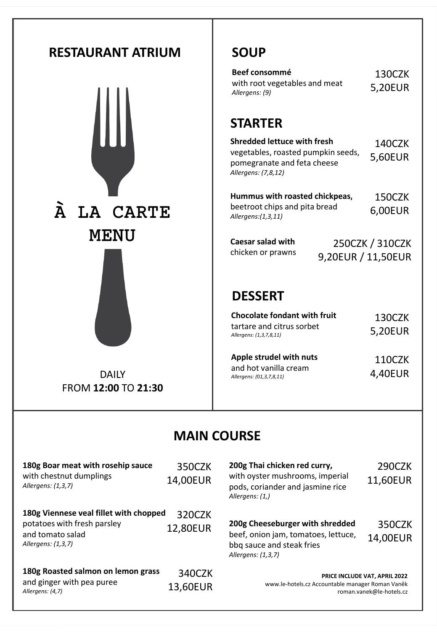

**180g Roasted salmon on lemon grass** and ginger with pea puree *Allergens: (4,7)* 340CZK 13,60EUR

### **SOUP**

| Beef consommé                 | 130CZK  |
|-------------------------------|---------|
| with root vegetables and meat | 5,20EUR |
| Allergens: (9)                |         |

### **STARTER**

| <b>Shredded lettuce with fresh</b> | 140CZK  |
|------------------------------------|---------|
| vegetables, roasted pumpkin seeds, | 5,60EUR |
| pomegranate and feta cheese        |         |
| Allergens: (7,8,12)                |         |

| Hummus with roasted chickpeas, | 150CZK  |
|--------------------------------|---------|
| beetroot chips and pita bread  | 6,00EUR |
| Allergens:(1,3,11)             |         |

| Caesar salad with | 250CZK / 310CZK    |
|-------------------|--------------------|
| chicken or prawns | 9,20EUR / 11,50EUR |

### **DESSERT**

| <b>Chocolate fondant with fruit</b><br>tartare and citrus sorbet<br>Allergens: (1,3,7,8,11) | 130CZK<br>5,20EUR |  |
|---------------------------------------------------------------------------------------------|-------------------|--|
| Apple strudel with nuts                                                                     | 110CZK            |  |

and hot vanilla cream *Allergens: (*0*1,3,7,8,11)* 4,40EUR

### **MAIN COURSE**

**200g Thai chicken red curry,**  with oyster mushrooms, imperial pods, coriander and jasmine rice *Allergens: (1,)* 

290CZK 11,60EUR

| 200g Cheeseburger with shredded                                  | 350CZK   |
|------------------------------------------------------------------|----------|
| beef, onion jam, tomatoes, lettuce,<br>bbq sauce and steak fries | 14,00EUR |
| Allergens: (1,3,7)                                               |          |

**PRICE INCLUDE VAT, APRIL 2022**  www.le-hotels.cz Accountable manager Roman Vaněk roman.vanek@le-hotels.cz